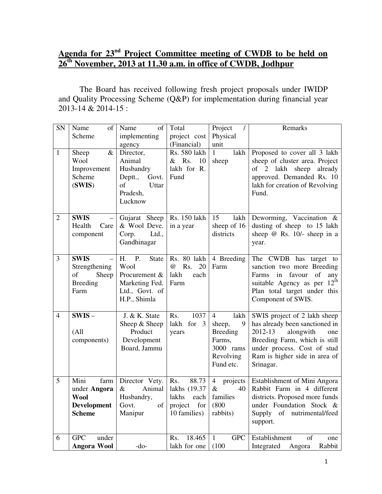## **Agenda for 23nd Project Committee meeting of CWDB to be held on 26th November, 2013 at 11.30 a.m. in office of CWDB, Jodhpur**

 The Board has received following fresh project proposals under IWIDP and Quality Processing Scheme (Q&P) for implementation during financial year 2013-14 & 2014-15 :

| SN             | Name<br>of            | Name<br>of               | Total                         | Project<br>$\prime$           | Remarks                                                        |
|----------------|-----------------------|--------------------------|-------------------------------|-------------------------------|----------------------------------------------------------------|
|                | Scheme                | implementing             | project cost                  | Physical                      |                                                                |
|                |                       | agency                   | (Financial)                   | unit                          |                                                                |
| $\mathbf{1}$   | $\&$<br>Sheep<br>Wool | Director,<br>Animal      | Rs. 580 lakh<br>$&$ Rs.<br>10 | $\mathbf{1}$<br>lakh<br>sheep | Proposed to cover all 3 lakh<br>sheep of cluster area. Project |
|                | Improvement           | Husbandry                | lakh for R.                   |                               | of 2 lakh<br>sheep<br>already                                  |
|                | Scheme                | Deptt.,<br>Govt.         | Fund                          |                               | approved. Demanded Rs. 10                                      |
|                | (SWIS)                | of<br>Uttar              |                               |                               | lakh for creation of Revolving                                 |
|                |                       | Pradesh,                 |                               |                               | Fund.                                                          |
|                |                       | Lucknow                  |                               |                               |                                                                |
|                |                       |                          |                               |                               |                                                                |
| $\overline{2}$ | <b>SWIS</b>           | Gujarat Sheep            | Rs. 150 lakh                  | 15<br>lakh                    | Deworming, Vaccination &                                       |
|                | Health<br>Care        | & Wool Deve.             | in a year                     | sheep of 16                   | dusting of sheep to 15 lakh                                    |
|                | component             | Corp.<br>Ltd.,           |                               | districts                     | sheep $@$ Rs. 10/- sheep in a                                  |
|                |                       | Gandhinagar              |                               |                               | year.                                                          |
|                |                       |                          |                               |                               |                                                                |
| 3              | <b>SWIS</b>           | H.<br>P.<br><b>State</b> | Rs. 80 lakh                   | 4 Breeding                    | The CWDB has target to                                         |
|                | Strengthening         | Wool                     | $\omega$<br>Rs.<br>20         | Farm                          | sanction two more Breeding                                     |
|                | of<br>Sheep           | Procurement &            | lakh<br>each                  |                               | Farms in favour<br>of<br>any                                   |
|                | <b>Breeding</b>       | Marketing Fed.           | Farm                          |                               | $12^{\text{th}}$<br>suitable Agency as per                     |
|                | Farm                  | Ltd., Govt. of           |                               |                               | Plan total target under this                                   |
|                |                       | H.P., Shimla             |                               |                               | Component of SWIS.                                             |
| $\overline{4}$ | $SWIS -$              | J. & K. State            | 1037<br>Rs.                   | $\overline{4}$<br>lakh        | SWIS project of 2 lakh sheep                                   |
|                |                       | Sheep & Sheep            | lakh for 3                    | 9<br>sheep,                   | has already been sanctioned in                                 |
|                | (A <sup>11</sup> )    | Product                  | years                         | <b>Breeding</b>               | 2012-13<br>alongwith<br>one                                    |
|                | components)           | Development              |                               | Farms,                        | Breeding Farm, which is still                                  |
|                |                       | Board, Jammu             |                               | 3000 rams                     | under process. Cost of stud                                    |
|                |                       |                          |                               | Revolving                     | Ram is higher side in area of                                  |
|                |                       |                          |                               | Fund etc.                     | Srinagar.                                                      |
|                |                       |                          |                               |                               |                                                                |
| $\overline{5}$ | Mini<br>farm          | Director Vety.           | Rs.<br>88.73                  | $\overline{4}$<br>projects    | Establishment of Mini Angora                                   |
|                | under Angora          | $\&$<br>Animal           | lakhs (19.37                  | $\&$<br>40                    | Rabbit Farm in 4 different                                     |
|                | <b>Wool</b>           | Husbandry,               | lakhs<br>each                 | families                      | districts. Proposed more funds                                 |
|                | Development           | Govt.<br>of              | for<br>project                | (800)                         | under Foundation Stock &                                       |
|                | <b>Scheme</b>         | Manipur                  | 10 families)                  | rabbits)                      | Supply of nutrimental/feed                                     |
|                |                       |                          |                               |                               | support.                                                       |
| 6              | <b>GPC</b><br>under   |                          | 18.465<br>Rs.                 | $\mathbf{1}$<br><b>GPC</b>    | Establishment<br>of                                            |
|                | <b>Angora Wool</b>    | $-do-$                   | lakh for one                  | (100)                         | one<br>Rabbit<br>Angora<br>Integrated                          |
|                |                       |                          |                               |                               |                                                                |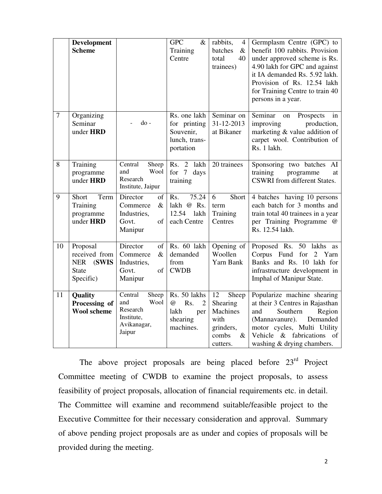|                | Development<br><b>Scheme</b>                                                  |                                                                                                                                                                             | <b>GPC</b><br>$\&$<br>Training<br>Centre                                     | rabbits,<br>4<br>batches<br>$\&$<br>40<br>total<br>trainees)                                 | Germplasm Centre (GPC) to<br>benefit 100 rabbits. Provision<br>under approved scheme is Rs.<br>4.90 lakh for GPC and against<br>it IA demanded Rs. 5.92 lakh.<br>Provision of Rs. 12.54 lakh<br>for Training Centre to train 40<br>persons in a year. |
|----------------|-------------------------------------------------------------------------------|-----------------------------------------------------------------------------------------------------------------------------------------------------------------------------|------------------------------------------------------------------------------|----------------------------------------------------------------------------------------------|-------------------------------------------------------------------------------------------------------------------------------------------------------------------------------------------------------------------------------------------------------|
| $\overline{7}$ | Organizing<br>Seminar<br>under <b>HRD</b>                                     | $d$ o -                                                                                                                                                                     | Rs. one lakh<br>for printing<br>Souvenir,<br>lunch, trans-<br>portation      | Seminar on<br>31-12-2013<br>at Bikaner                                                       | Seminar<br>on<br>Prospects<br>in<br>improving<br>production,<br>marketing & value addition of<br>carpet wool. Contribution of<br>Rs. 1 lakh.                                                                                                          |
| 8              | Training<br>programme<br>under HRD                                            | Central<br>Sheep<br>and<br>Wool<br>Research<br>Institute, Jaipur                                                                                                            | lakh<br>Rs. 2<br>7 days<br>for<br>training                                   | 20 trainees                                                                                  | Sponsoring two batches AI<br>training<br>programme<br>at<br><b>CSWRI</b> from different States.                                                                                                                                                       |
| 9              | Short<br>Term<br>Training<br>programme<br>under <b>HRD</b>                    | Director<br>$% \left( \left( \mathcal{A},\mathcal{A}\right) \right) =\left( \mathcal{A},\mathcal{A}\right)$ of<br>Commerce<br>$\&$<br>Industries,<br>Govt.<br>of<br>Manipur | 75.24<br>Rs.<br>lakh @ Rs.<br>12.54<br>lakh<br>each Centre                   | 6<br>Short<br>term<br>Training<br>Centres                                                    | 4 batches having 10 persons<br>each batch for 3 months and<br>train total 40 trainees in a year<br>per Training Programme @<br>Rs. 12.54 lakh.                                                                                                        |
| 10             | Proposal<br>received from<br><b>NER</b><br>(SWIS<br><b>State</b><br>Specific) | Director<br>of<br>$\&$<br>Commerce<br>Industries,<br>Govt.<br>of<br>Manipur                                                                                                 | Rs. 60 lakh<br>demanded<br>from<br><b>CWDB</b>                               | Opening of<br>Woollen<br>Yarn Bank                                                           | Proposed Rs. 50 lakhs as<br>Corpus Fund for<br>$\overline{2}$<br>Yarn<br>Banks and Rs. 10 lakh for<br>infrastructure development in<br>Imphal of Manipur State.                                                                                       |
| 11             | Quality<br>Processing of<br><b>Wool scheme</b>                                | Central<br>Sheep<br>and<br>Wool<br>Research<br>Institute,<br>Avikanagar,<br>Jaipur                                                                                          | Rs. 50 lakhs<br>$\omega$<br>Rs.<br>2<br>lakh<br>per<br>shearing<br>machines. | 12<br>Sheep<br>Shearing<br><b>Machines</b><br>with<br>grinders,<br>combs<br>$\&$<br>cutters. | Popularize machine shearing<br>at their 3 Centres in Rajasthan<br>and<br>Southern<br>Region<br>(Mannavanure).<br>Demanded<br>motor cycles, Multi Utility<br>Vehicle & fabrications of<br>washing & drying chambers.                                   |

The above project proposals are being placed before 23<sup>rd</sup> Project Committee meeting of CWDB to examine the project proposals, to assess feasibility of project proposals, allocation of financial requirements etc. in detail. The Committee will examine and recommend suitable/feasible project to the Executive Committee for their necessary consideration and approval. Summary of above pending project proposals are as under and copies of proposals will be provided during the meeting.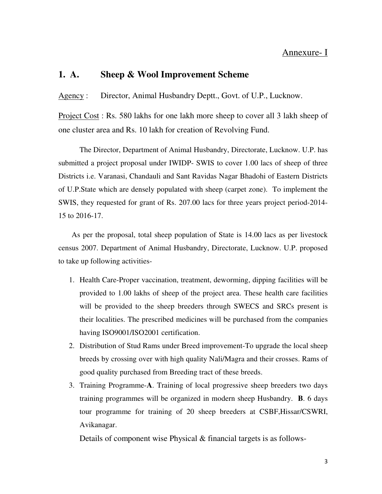### Annexure- I

#### **1. A. Sheep & Wool Improvement Scheme**

Agency : Director, Animal Husbandry Deptt., Govt. of U.P., Lucknow.

Project Cost : Rs. 580 lakhs for one lakh more sheep to cover all 3 lakh sheep of one cluster area and Rs. 10 lakh for creation of Revolving Fund.

 The Director, Department of Animal Husbandry, Directorate, Lucknow. U.P. has submitted a project proposal under IWIDP- SWIS to cover 1.00 lacs of sheep of three Districts i.e. Varanasi, Chandauli and Sant Ravidas Nagar Bhadohi of Eastern Districts of U.P.State which are densely populated with sheep (carpet zone). To implement the SWIS, they requested for grant of Rs. 207.00 lacs for three years project period-2014- 15 to 2016-17.

As per the proposal, total sheep population of State is 14.00 lacs as per livestock census 2007. Department of Animal Husbandry, Directorate, Lucknow. U.P. proposed to take up following activities-

- 1. Health Care-Proper vaccination, treatment, deworming, dipping facilities will be provided to 1.00 lakhs of sheep of the project area. These health care facilities will be provided to the sheep breeders through SWECS and SRCs present is their localities. The prescribed medicines will be purchased from the companies having ISO9001/ISO2001 certification.
- 2. Distribution of Stud Rams under Breed improvement-To upgrade the local sheep breeds by crossing over with high quality Nali/Magra and their crosses. Rams of good quality purchased from Breeding tract of these breeds.
- 3. Training Programme-**A**. Training of local progressive sheep breeders two days training programmes will be organized in modern sheep Husbandry. **B**. 6 days tour programme for training of 20 sheep breeders at CSBF,Hissar/CSWRI, Avikanagar.

Details of component wise Physical & financial targets is as follows-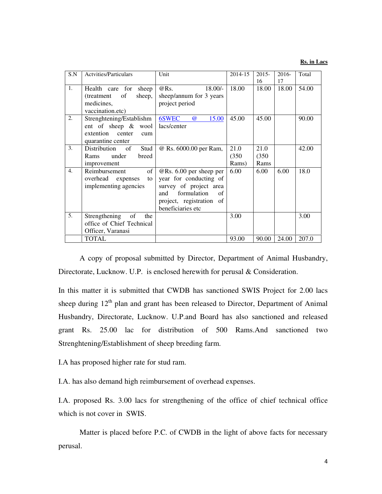#### **Rs. in Lacs**

| S.N | <b>Actvities/Particulars</b>                                                                    | Unit                                                                                                                                                             | 2014-15                | $2015 -$              | $2016-$     | Total |
|-----|-------------------------------------------------------------------------------------------------|------------------------------------------------------------------------------------------------------------------------------------------------------------------|------------------------|-----------------------|-------------|-------|
| 1.  | Health care for<br>sheep<br>of<br>sheep,<br>(treatment)                                         | $@$ Rs.<br>$18.00/-$<br>sheep/annum for 3 years                                                                                                                  | 18.00                  | 16<br>18.00           | 17<br>18.00 | 54.00 |
|     | medicines,<br>vaccination.etc)                                                                  | project period                                                                                                                                                   |                        |                       |             |       |
| 2.  | Strenghtening/Establishm<br>ent of sheep & wool<br>extention center<br>cum<br>quarantine center | 6SWEC<br>$\omega$<br>15.00<br>lacs/center                                                                                                                        | 45.00                  | 45.00                 |             | 90.00 |
| 3.  | Distribution of<br>Stud<br>under<br>breed<br>Rams<br>improvement                                | @ Rs. 6000.00 per Ram,                                                                                                                                           | 21.0<br>(350)<br>Rams) | 21.0<br>(350)<br>Rams |             | 42.00 |
| 4.  | Reimbursement<br>of<br>overhead expenses<br>to<br>implementing agencies                         | $\omega$ Rs. 6.00 per sheep per<br>year for conducting of<br>survey of project area<br>formulation<br>and<br>of<br>project, registration of<br>beneficiaries etc | 6.00                   | 6.00                  | 6.00        | 18.0  |
| 5.  | Strengthening<br>of<br>the<br>office of Chief Technical<br>Officer, Varanasi                    |                                                                                                                                                                  | 3.00                   |                       |             | 3.00  |
|     | <b>TOTAL</b>                                                                                    |                                                                                                                                                                  | 93.00                  | 90.00                 | 24.00       | 207.0 |

 A copy of proposal submitted by Director, Department of Animal Husbandry, Directorate, Lucknow. U.P. is enclosed herewith for perusal & Consideration.

In this matter it is submitted that CWDB has sanctioned SWIS Project for 2.00 lacs sheep during  $12<sup>th</sup>$  plan and grant has been released to Director, Department of Animal Husbandry, Directorate, Lucknow. U.P.and Board has also sanctioned and released grant Rs. 25.00 lac for distribution of 500 Rams.And sanctioned two Strenghtening/Establishment of sheep breeding farm.

I.A has proposed higher rate for stud ram.

I.A. has also demand high reimbursement of overhead expenses.

I.A. proposed Rs. 3.00 lacs for strengthening of the office of chief technical office which is not cover in SWIS.

 Matter is placed before P.C. of CWDB in the light of above facts for necessary perusal.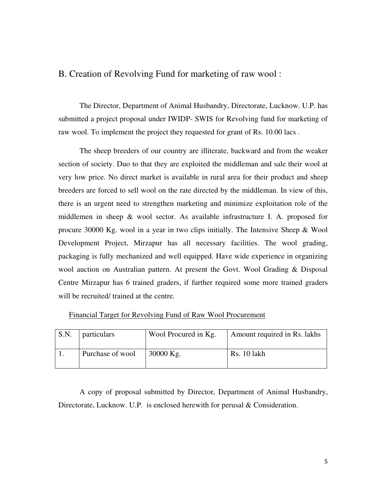## B. Creation of Revolving Fund for marketing of raw wool :

 The Director, Department of Animal Husbandry, Directorate, Lucknow. U.P. has submitted a project proposal under IWIDP- SWIS for Revolving fund for marketing of raw wool. To implement the project they requested for grant of Rs. 10.00 lacs .

 The sheep breeders of our country are illiterate, backward and from the weaker section of society. Duo to that they are exploited the middleman and sale their wool at very low price. No direct market is available in rural area for their product and sheep breeders are forced to sell wool on the rate directed by the middleman. In view of this, there is an urgent need to strengthen marketing and minimize exploitation role of the middlemen in sheep & wool sector. As available infrastructure I. A. proposed for procure 30000 Kg. wool in a year in two clips initially. The Intensive Sheep & Wool Development Project, Mirzapur has all necessary facilities. The wool grading, packaging is fully mechanized and well equipped. Have wide experience in organizing wool auction on Australian pattern. At present the Govt. Wool Grading & Disposal Centre Mirzapur has 6 trained graders, if further required some more trained graders will be recruited/ trained at the centre.

#### Financial Target for Revolving Fund of Raw Wool Procurement

| S.N. | particulars      | Wool Procured in Kg. | Amount required in Rs. lakhs |
|------|------------------|----------------------|------------------------------|
|      | Purchase of wool | $30000$ Kg.          | Rs. 10 lakh                  |

 A copy of proposal submitted by Director, Department of Animal Husbandry, Directorate, Lucknow. U.P. is enclosed herewith for perusal & Consideration.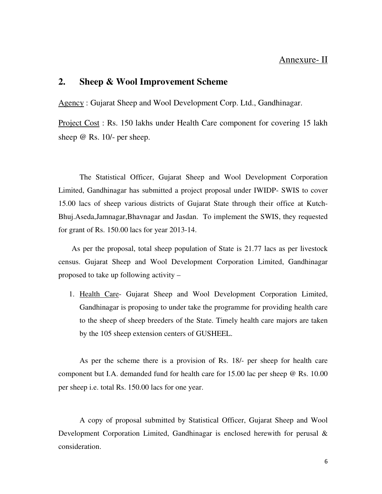## Annexure- II

#### **2. Sheep & Wool Improvement Scheme**

Agency : Gujarat Sheep and Wool Development Corp. Ltd., Gandhinagar.

Project Cost : Rs. 150 lakhs under Health Care component for covering 15 lakh sheep @ Rs. 10/- per sheep.

 The Statistical Officer, Gujarat Sheep and Wool Development Corporation Limited, Gandhinagar has submitted a project proposal under IWIDP- SWIS to cover 15.00 lacs of sheep various districts of Gujarat State through their office at Kutch-Bhuj.Aseda,Jamnagar,Bhavnagar and Jasdan. To implement the SWIS, they requested for grant of Rs. 150.00 lacs for year 2013-14.

As per the proposal, total sheep population of State is 21.77 lacs as per livestock census. Gujarat Sheep and Wool Development Corporation Limited, Gandhinagar proposed to take up following activity –

1. Health Care- Gujarat Sheep and Wool Development Corporation Limited, Gandhinagar is proposing to under take the programme for providing health care to the sheep of sheep breeders of the State. Timely health care majors are taken by the 105 sheep extension centers of GUSHEEL.

As per the scheme there is a provision of Rs. 18/- per sheep for health care component but I.A. demanded fund for health care for 15.00 lac per sheep @ Rs. 10.00 per sheep i.e. total Rs. 150.00 lacs for one year.

A copy of proposal submitted by Statistical Officer, Gujarat Sheep and Wool Development Corporation Limited, Gandhinagar is enclosed herewith for perusal & consideration.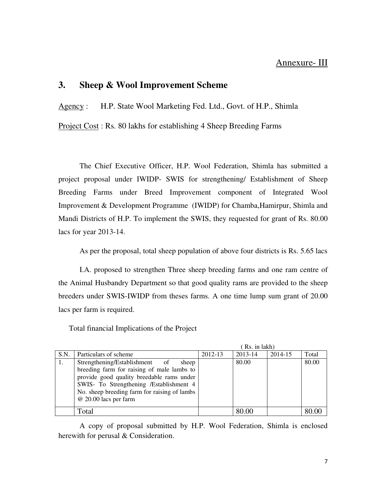### Annexure- III

## **3. Sheep & Wool Improvement Scheme**

Agency : H.P. State Wool Marketing Fed. Ltd., Govt. of H.P., Shimla

Project Cost : Rs. 80 lakhs for establishing 4 Sheep Breeding Farms

 The Chief Executive Officer, H.P. Wool Federation, Shimla has submitted a project proposal under IWIDP- SWIS for strengthening/ Establishment of Sheep Breeding Farms under Breed Improvement component of Integrated Wool Improvement & Development Programme (IWIDP) for Chamba,Hamirpur, Shimla and Mandi Districts of H.P. To implement the SWIS, they requested for grant of Rs. 80.00 lacs for year 2013-14.

As per the proposal, total sheep population of above four districts is Rs. 5.65 lacs

 I.A. proposed to strengthen Three sheep breeding farms and one ram centre of the Animal Husbandry Department so that good quality rams are provided to the sheep breeders under SWIS-IWIDP from theses farms. A one time lump sum grant of 20.00 lacs per farm is required.

Total financial Implications of the Project

|      |                                              |         | Rs. in lakh) |         |       |
|------|----------------------------------------------|---------|--------------|---------|-------|
| S.N. | Particulars of scheme                        | 2012-13 | 2013-14      | 2014-15 | Total |
|      | Strengthening/Establishment of<br>sheep      |         | 80.00        |         | 80.00 |
|      | breeding farm for raising of male lambs to   |         |              |         |       |
|      | provide good quality breedable rams under    |         |              |         |       |
|      | SWIS- To Strengthening /Establishment 4      |         |              |         |       |
|      | No. sheep breeding farm for raising of lambs |         |              |         |       |
|      | @ 20.00 lacs per farm                        |         |              |         |       |
|      |                                              |         |              |         |       |
|      | Total                                        |         | 80.00        |         |       |

 A copy of proposal submitted by H.P. Wool Federation, Shimla is enclosed herewith for perusal & Consideration.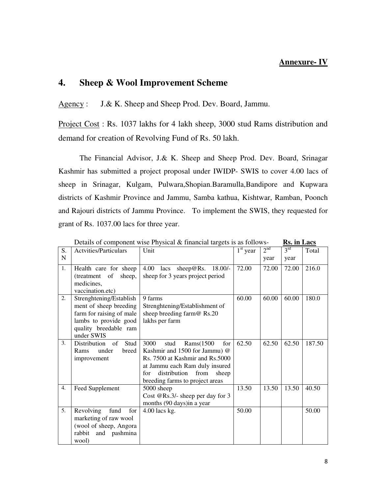#### **Annexure- IV**

## **4. Sheep & Wool Improvement Scheme**

Agency : J.& K. Sheep and Sheep Prod. Dev. Board, Jammu.

Project Cost : Rs. 1037 lakhs for 4 lakh sheep, 3000 stud Rams distribution and demand for creation of Revolving Fund of Rs. 50 lakh.

 The Financial Advisor, J.& K. Sheep and Sheep Prod. Dev. Board, Srinagar Kashmir has submitted a project proposal under IWIDP- SWIS to cover 4.00 lacs of sheep in Srinagar, Kulgam, Pulwara,Shopian.Baramulla,Bandipore and Kupwara districts of Kashmir Province and Jammu, Samba kathua, Kishtwar, Ramban, Poonch and Rajouri districts of Jammu Province. To implement the SWIS, they requested for grant of Rs. 1037.00 lacs for three year.

|             | Details of component wise I hysical $\alpha$ milaneial targets is as follows-<br>ілэ. Ш шасэ                                                  |                                                                                                                                                                                                                   |            |                            |                 |        |
|-------------|-----------------------------------------------------------------------------------------------------------------------------------------------|-------------------------------------------------------------------------------------------------------------------------------------------------------------------------------------------------------------------|------------|----------------------------|-----------------|--------|
| S.          | Actvities/Particulars                                                                                                                         | Unit                                                                                                                                                                                                              | $1st$ year | $2^{\overline{\text{nd}}}$ | 3 <sup>rd</sup> | Total  |
| $\mathbf N$ |                                                                                                                                               |                                                                                                                                                                                                                   |            | year                       | year            |        |
| 1.          | Health care for sheep<br>sheep,<br>(treatment of<br>medicines,<br>vaccination.etc)                                                            | 4.00 lacs sheep@Rs. 18.00/-<br>sheep for 3 years project period                                                                                                                                                   | 72.00      | 72.00                      | 72.00           | 216.0  |
| 2.          | Strenghtening/Establish<br>ment of sheep breeding<br>farm for raising of male<br>lambs to provide good<br>quality breedable ram<br>under SWIS | 9 farms<br>Strenghtening/Establishment of<br>sheep breeding farm@ Rs.20<br>lakhs per farm                                                                                                                         | 60.00      | 60.00                      | 60.00           | 180.0  |
| 3.          | Stud<br>Distribution<br>of<br>under<br>breed<br>Rams<br>improvement                                                                           | 3000<br>Rams(1500<br>for<br>stud<br>Kashmir and 1500 for Jammu) @<br>Rs. 7500 at Kashmir and Rs.5000<br>at Jammu each Ram duly insured<br>distribution<br>from<br>for<br>sheep<br>breeding farms to project areas | 62.50      | 62.50                      | 62.50           | 187.50 |
| 4.          | Feed Supplement                                                                                                                               | 5000 sheep<br>Cost @Rs.3/- sheep per day for 3<br>months (90 days) in a year                                                                                                                                      | 13.50      | 13.50                      | 13.50           | 40.50  |
| 5.          | fund<br>Revolving<br>for<br>marketing of raw wool<br>(wool of sheep, Angora<br>rabbit and pashmina<br>wool)                                   | $4.00$ lacs kg.                                                                                                                                                                                                   | 50.00      |                            |                 | 50.00  |

Details of component wise Physical & financial targets is as follows- **Rs. in Lacs**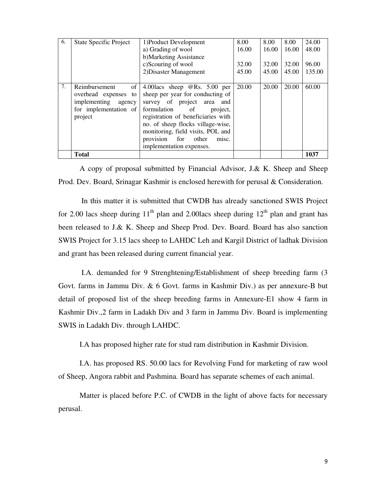| 6. | <b>State Specific Project</b>     | 1) Product Development                     | 8.00  | 8.00  | 8.00  | 24.00  |
|----|-----------------------------------|--------------------------------------------|-------|-------|-------|--------|
|    |                                   | a) Grading of wool                         | 16.00 | 16.00 | 16.00 | 48.00  |
|    |                                   | b)Marketing Assistance                     |       |       |       |        |
|    |                                   | c)Scouring of wool                         | 32.00 | 32.00 | 32.00 | 96.00  |
|    |                                   | 2) Disaster Management                     | 45.00 | 45.00 | 45.00 | 135.00 |
|    |                                   |                                            |       |       |       |        |
| 7. | Reimbursement<br>of               | 4.00 lacs sheep $\mathcal{Q}$ Rs. 5.00 per | 20.00 | 20.00 | 20.00 | 60.00  |
|    | overhead expenses to              | sheep per year for conducting of           |       |       |       |        |
|    | implementing agency               | survey of project area<br>and              |       |       |       |        |
|    | for implementation of formulation | of<br>project.                             |       |       |       |        |
|    | project                           | registration of beneficiaries with         |       |       |       |        |
|    |                                   | no. of sheep flocks village-wise,          |       |       |       |        |
|    |                                   | monitoring, field visits, POL and          |       |       |       |        |
|    |                                   | provision<br>for<br>other<br>misc.         |       |       |       |        |
|    |                                   | implementation expenses.                   |       |       |       |        |
|    | <b>Total</b>                      |                                            |       |       |       | 1037   |

 A copy of proposal submitted by Financial Advisor, J.& K. Sheep and Sheep Prod. Dev. Board, Srinagar Kashmir is enclosed herewith for perusal & Consideration.

 In this matter it is submitted that CWDB has already sanctioned SWIS Project for 2.00 lacs sheep during  $11<sup>th</sup>$  plan and 2.00 lacs sheep during  $12<sup>th</sup>$  plan and grant has been released to J.& K. Sheep and Sheep Prod. Dev. Board. Board has also sanction SWIS Project for 3.15 lacs sheep to LAHDC Leh and Kargil District of ladhak Division and grant has been released during current financial year.

 I.A. demanded for 9 Strenghtening/Establishment of sheep breeding farm (3 Govt. farms in Jammu Div. & 6 Govt. farms in Kashmir Div.) as per annexure-B but detail of proposed list of the sheep breeding farms in Annexure-E1 show 4 farm in Kashmir Div.,2 farm in Ladakh Div and 3 farm in Jammu Div. Board is implementing SWIS in Ladakh Div. through LAHDC.

I.A has proposed higher rate for stud ram distribution in Kashmir Division.

 I.A. has proposed RS. 50.00 lacs for Revolving Fund for marketing of raw wool of Sheep, Angora rabbit and Pashmina. Board has separate schemes of each animal.

Matter is placed before P.C. of CWDB in the light of above facts for necessary perusal.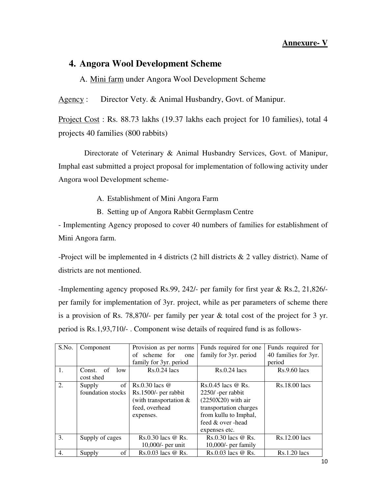#### **Annexure- V**

## **4. Angora Wool Development Scheme**

A. Mini farm under Angora Wool Development Scheme

Agency : Director Vety. & Animal Husbandry, Govt. of Manipur.

Project Cost : Rs. 88.73 lakhs (19.37 lakhs each project for 10 families), total 4 projects 40 families (800 rabbits)

 Directorate of Veterinary & Animal Husbandry Services, Govt. of Manipur, Imphal east submitted a project proposal for implementation of following activity under Angora wool Development scheme-

A. Establishment of Mini Angora Farm

B. Setting up of Angora Rabbit Germplasm Centre

- Implementing Agency proposed to cover 40 numbers of families for establishment of Mini Angora farm.

-Project will be implemented in 4 districts (2 hill districts & 2 valley district). Name of districts are not mentioned.

-Implementing agency proposed Rs.99, 242/- per family for first year & Rs.2, 21,826/ per family for implementation of 3yr. project, while as per parameters of scheme there is a provision of Rs. 78,870/- per family per year & total cost of the project for 3 yr. period is Rs.1,93,710/- . Component wise details of required fund is as follows-

| S.No. | Component         | Provision as per norms   | Funds required for one | Funds required for   |
|-------|-------------------|--------------------------|------------------------|----------------------|
|       |                   | of scheme for<br>one     | family for 3yr. period | 40 families for 3yr. |
|       |                   | family for 3yr. period   |                        | period               |
| 1.    | Const. of<br>low  | $Rs.0.24$ lacs           | $Rs.0.24$ lacs         | $Rs.9.60$ lacs       |
|       | cost shed         |                          |                        |                      |
| 2.    | of<br>Supply      | $Rs.0.30$ lacs $@$       | $Rs.0.45$ lacs @ Rs.   | Rs.18.00 lacs        |
|       | foundation stocks | Rs.1500/- per rabbit     | 2250/-per rabbit       |                      |
|       |                   | (with transportation $&$ | $(2250X20)$ with air   |                      |
|       |                   | feed, overhead           | transportation charges |                      |
|       |                   | expenses.                | from kullu to Imphal,  |                      |
|       |                   |                          | feed & over -head      |                      |
|       |                   |                          | expenses etc.          |                      |
| 3.    | Supply of cages   | $Rs.0.30$ lacs $@$ Rs.   | $Rs.0.30$ lacs $@$ Rs. | Rs.12.00 lacs        |
|       |                   | $10,000/$ - per unit     | $10,000/$ - per family |                      |
| 4.    | of<br>Supply      | Rs.0.03 lacs @ Rs.       | Rs.0.03 lacs @ Rs.     | $Rs.1.20$ $lacs$     |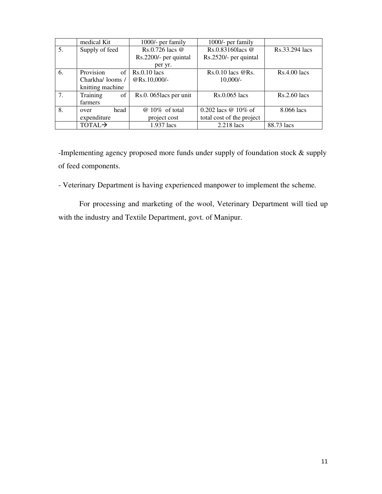|    | medical Kit        | 1000/- per family       | 1000/- per family         |                |
|----|--------------------|-------------------------|---------------------------|----------------|
| 5. | Supply of feed     | Rs.0.726 lacs $@$       | $Rs.0.83160$ lacs @       | Rs.33.294 lacs |
|    |                    | Rs.2200/- per quintal   | Rs.2520/- per quintal     |                |
|    |                    | per yr.                 |                           |                |
| 6. | Provision          | of $\vert$ Rs.0.10 lacs | $Rs.0.10$ lacs $@Rs.$     | $Rs.4.00$ lacs |
|    | Charkha/looms/     | @Rs.10,000/-            | $10,000/-$                |                |
|    | knitting machine   |                         |                           |                |
| 7. | Training<br>of     | Rs.0. 065 lacs per unit | Rs.0.065 lacs             | $Rs.2.60$ lacs |
|    | farmers            |                         |                           |                |
| 8. | head<br>over       | $@10\%$ of total        | 0.202 lacs @ 10% of       | 8.066 lacs     |
|    | expenditure        | project cost            | total cost of the project |                |
|    | TOTAL <sub>2</sub> | 1.937 lacs              | 2.218 lacs                | 88.73 lacs     |

-Implementing agency proposed more funds under supply of foundation stock & supply of feed components.

- Veterinary Department is having experienced manpower to implement the scheme.

 For processing and marketing of the wool, Veterinary Department will tied up with the industry and Textile Department, govt. of Manipur.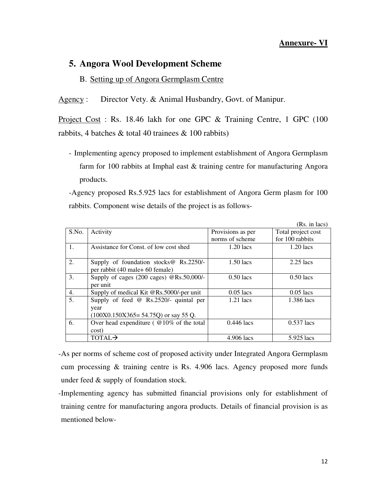#### **Annexure- VI**

## **5. Angora Wool Development Scheme**

#### B. Setting up of Angora Germplasm Centre

Agency : Director Vety. & Animal Husbandry, Govt. of Manipur.

Project Cost : Rs. 18.46 lakh for one GPC & Training Centre, 1 GPC (100 rabbits, 4 batches  $\&$  total 40 trainees  $\&$  100 rabbits)

- Implementing agency proposed to implement establishment of Angora Germplasm farm for 100 rabbits at Imphal east & training centre for manufacturing Angora products.

-Agency proposed Rs.5.925 lacs for establishment of Angora Germ plasm for 100 rabbits. Component wise details of the project is as follows-

|       |                                                    |                   | $(Rs. in lacs)$    |
|-------|----------------------------------------------------|-------------------|--------------------|
| S.No. | Activity                                           | Provisions as per | Total project cost |
|       |                                                    | norms of scheme   | for 100 rabbits    |
| 1.    | Assistance for Const. of low cost shed             | $1.20$ lacs       | $1.20$ lacs        |
|       |                                                    |                   |                    |
| 2.    | Supply of foundation stocks $@$ Rs.2250/-          | $1.50$ lacs       | $2.25$ lacs        |
|       | per rabbit (40 male+ 60 female)                    |                   |                    |
| 3.    | Supply of cages $(200 \text{ cages})$ @Rs.50,000/- | $0.50$ lacs       | $0.50$ lacs        |
|       | per unit                                           |                   |                    |
| 4.    | Supply of medical Kit @Rs.5000/-per unit           | $0.05$ lacs       | $0.05$ lacs        |
| 5.    | Supply of feed $\omega$ Rs.2520/- quintal per      | $1.21$ lacs       | 1.386 lacs         |
|       | year                                               |                   |                    |
|       | $(100X0.150X365 = 54.75Q)$ or say 55 Q.            |                   |                    |
| 6.    | Over head expenditure ( $@10\%$ of the total       | $0.446$ lacs      | $0.537$ lacs       |
|       | cost)                                              |                   |                    |
|       | TOTAL <sub>2</sub>                                 | 4.906 lacs        | 5.925 lacs         |

-As per norms of scheme cost of proposed activity under Integrated Angora Germplasm cum processing & training centre is Rs. 4.906 lacs. Agency proposed more funds under feed & supply of foundation stock.

-Implementing agency has submitted financial provisions only for establishment of training centre for manufacturing angora products. Details of financial provision is as mentioned below-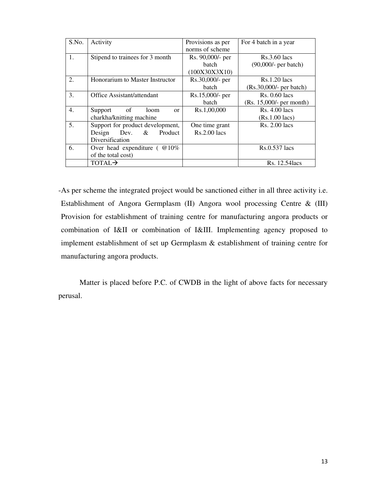| S.No.            | Activity                         | Provisions as per   | For 4 batch in a year      |
|------------------|----------------------------------|---------------------|----------------------------|
|                  |                                  | norms of scheme     |                            |
| 1.               | Stipend to trainees for 3 month  | Rs. 90,000/- per    | $Rs.3.60$ lacs             |
|                  |                                  | <b>batch</b>        | $(90,000/-$ per batch)     |
|                  |                                  | (100X30X3X10)       |                            |
| 2.               | Honorarium to Master Instructor  | Rs.30,000/- per     | $Rs.1.20$ lacs             |
|                  |                                  | <b>batch</b>        | (Rs.30,000/- per batch)    |
| 3.               | Office Assistant/attendant       | Rs.15,000/- per     | $Rs. 0.60$ lacs            |
|                  |                                  | <b>batch</b>        | $(Rs. 15,000/-$ per month) |
| $\overline{4}$ . | of<br>Support<br>loom<br>or      | Rs.1,00,000         | $Rs. 4.00$ lacs            |
|                  | charkha/knitting machine         |                     | $(Rs.1.00$ lacs)           |
| 5.               | Support for product development, | One time grant      | $Rs. 2.00$ lacs            |
|                  | Product<br>Design<br>Dev. &      | <b>Rs.2.00</b> lacs |                            |
|                  | Diversification                  |                     |                            |
| 6.               | Over head expenditure ( $@10\%$  |                     | Rs.0.537 lacs              |
|                  | of the total cost)               |                     |                            |
|                  | TOTAL→                           |                     | Rs. 12.54 lacs             |

-As per scheme the integrated project would be sanctioned either in all three activity i.e. Establishment of Angora Germplasm (II) Angora wool processing Centre & (III) Provision for establishment of training centre for manufacturing angora products or combination of I&II or combination of I&III. Implementing agency proposed to implement establishment of set up Germplasm & establishment of training centre for manufacturing angora products.

 Matter is placed before P.C. of CWDB in the light of above facts for necessary perusal.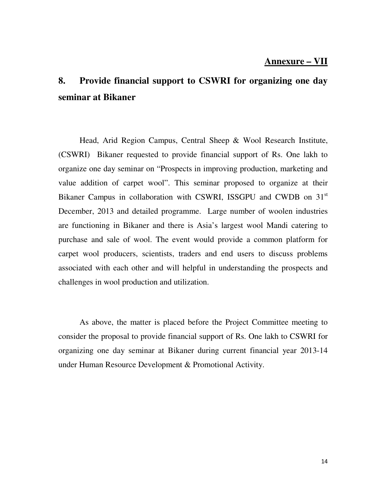### **Annexure – VII**

# **8. Provide financial support to CSWRI for organizing one day seminar at Bikaner**

 Head, Arid Region Campus, Central Sheep & Wool Research Institute, (CSWRI) Bikaner requested to provide financial support of Rs. One lakh to organize one day seminar on "Prospects in improving production, marketing and value addition of carpet wool". This seminar proposed to organize at their Bikaner Campus in collaboration with CSWRI, ISSGPU and CWDB on 31<sup>st</sup> December, 2013 and detailed programme. Large number of woolen industries are functioning in Bikaner and there is Asia's largest wool Mandi catering to purchase and sale of wool. The event would provide a common platform for carpet wool producers, scientists, traders and end users to discuss problems associated with each other and will helpful in understanding the prospects and challenges in wool production and utilization.

 As above, the matter is placed before the Project Committee meeting to consider the proposal to provide financial support of Rs. One lakh to CSWRI for organizing one day seminar at Bikaner during current financial year 2013-14 under Human Resource Development & Promotional Activity.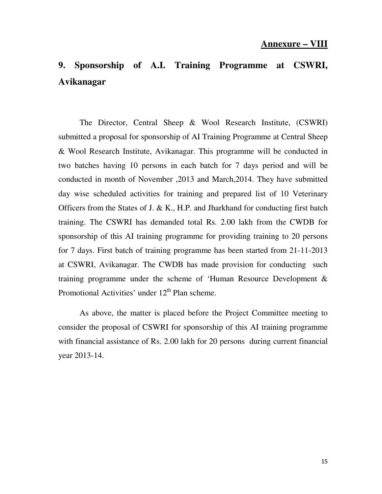# **9. Sponsorship of A.I. Training Programme at CSWRI, Avikanagar**

 The Director, Central Sheep & Wool Research Institute, (CSWRI) submitted a proposal for sponsorship of AI Training Programme at Central Sheep & Wool Research Institute, Avikanagar. This programme will be conducted in two batches having 10 persons in each batch for 7 days period and will be conducted in month of November ,2013 and March,2014. They have submitted day wise scheduled activities for training and prepared list of 10 Veterinary Officers from the States of J. & K., H.P. and Jharkhand for conducting first batch training. The CSWRI has demanded total Rs. 2.00 lakh from the CWDB for sponsorship of this AI training programme for providing training to 20 persons for 7 days. First batch of training programme has been started from 21-11-2013 at CSWRI, Avikanagar. The CWDB has made provision for conducting such training programme under the scheme of 'Human Resource Development & Promotional Activities' under  $12<sup>th</sup>$  Plan scheme.

 As above, the matter is placed before the Project Committee meeting to consider the proposal of CSWRI for sponsorship of this AI training programme with financial assistance of Rs. 2.00 lakh for 20 persons during current financial year 2013-14.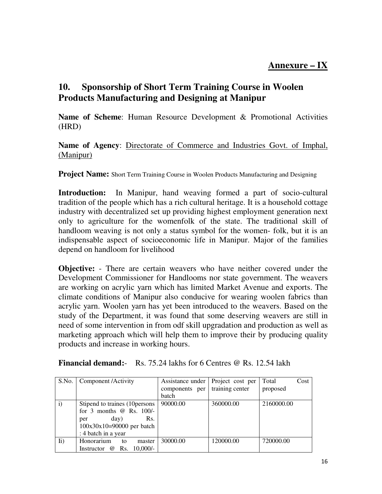# **10. Sponsorship of Short Term Training Course in Woolen Products Manufacturing and Designing at Manipur**

**Name of Scheme**: Human Resource Development & Promotional Activities (HRD)

**Name of Agency**: Directorate of Commerce and Industries Govt. of Imphal, (Manipur)

**Project Name:** Short Term Training Course in Woolen Products Manufacturing and Designing

**Introduction:** In Manipur, hand weaving formed a part of socio-cultural tradition of the people which has a rich cultural heritage. It is a household cottage industry with decentralized set up providing highest employment generation next only to agriculture for the womenfolk of the state. The traditional skill of handloom weaving is not only a status symbol for the women- folk, but it is an indispensable aspect of socioeconomic life in Manipur. Major of the families depend on handloom for livelihood

**Objective:** - There are certain weavers who have neither covered under the Development Commissioner for Handlooms nor state government. The weavers are working on acrylic yarn which has limited Market Avenue and exports. The climate conditions of Manipur also conducive for wearing woolen fabrics than acrylic yarn. Woolen yarn has yet been introduced to the weavers. Based on the study of the Department, it was found that some deserving weavers are still in need of some intervention in from odf skill upgradation and production as well as marketing approach which will help them to improve their by producing quality products and increase in working hours.

|  | <b>Financial demand:</b> Rs. 75.24 lakhs for 6 Centres @ Rs. 12.54 lakh |  |
|--|-------------------------------------------------------------------------|--|
|--|-------------------------------------------------------------------------|--|

| S.No.       | Component / Activity                   | Assistance under | Project cost per | Total<br>Cost |
|-------------|----------------------------------------|------------------|------------------|---------------|
|             |                                        | components per   | training center  | proposed      |
|             |                                        | batch            |                  |               |
| i)          | Stipend to traines (10 persons)        | 90000.00         | 360000.00        | 2160000.00    |
|             | for 3 months $\omega$ Rs. 100/-        |                  |                  |               |
|             | day)<br>Rs.<br>per                     |                  |                  |               |
|             | $100x30x10=90000$ per batch            |                  |                  |               |
|             | : 4 batch in a year                    |                  |                  |               |
| $\rm{I}i$ ) | Honorarium<br>master<br>to             | 30000.00         | 120000.00        | 720000.00     |
|             | Rs. 10,000/-<br>Instructor<br>$\omega$ |                  |                  |               |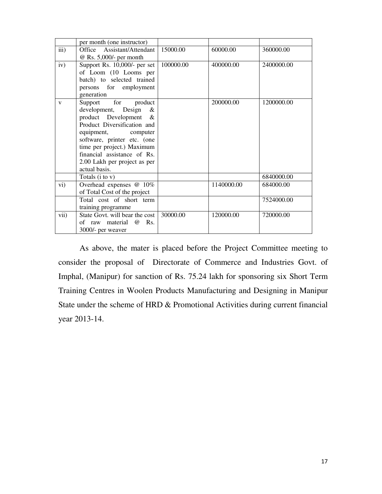|              | per month (one instructor)         |           |            |            |
|--------------|------------------------------------|-----------|------------|------------|
| iii)         | Office Assistant/Attendant         | 15000.00  | 60000.00   | 360000.00  |
|              | @ Rs. 5,000/- per month            |           |            |            |
| iv)          | Support Rs. $10,000/$ - per set    | 100000.00 | 400000.00  | 2400000.00 |
|              | of Loom (10 Looms per              |           |            |            |
|              | batch) to selected trained         |           |            |            |
|              | persons for employment             |           |            |            |
|              | generation                         |           |            |            |
| $\mathbf{V}$ | Support for<br>product             |           | 200000.00  | 1200000.00 |
|              | development, Design<br>&           |           |            |            |
|              | product Development<br>&           |           |            |            |
|              | Product Diversification and        |           |            |            |
|              | equipment, computer                |           |            |            |
|              | software, printer etc. (one        |           |            |            |
|              | time per project.) Maximum         |           |            |            |
|              | financial assistance of Rs.        |           |            |            |
|              | 2.00 Lakh per project as per       |           |            |            |
|              | actual basis.                      |           |            |            |
|              | Totals $(i \text{ to } v)$         |           |            | 6840000.00 |
| vi)          | Overhead expenses @ 10%            |           | 1140000.00 | 684000.00  |
|              | of Total Cost of the project       |           |            |            |
|              | Total cost of short term           |           |            | 7524000.00 |
|              | training programme                 |           |            |            |
| vii)         | State Govt. will bear the cost     | 30000.00  | 120000.00  | 720000.00  |
|              | Rs.<br>of raw material<br>$\omega$ |           |            |            |
|              | 3000/- per weaver                  |           |            |            |

 As above, the mater is placed before the Project Committee meeting to consider the proposal of Directorate of Commerce and Industries Govt. of Imphal, (Manipur) for sanction of Rs. 75.24 lakh for sponsoring six Short Term Training Centres in Woolen Products Manufacturing and Designing in Manipur State under the scheme of HRD & Promotional Activities during current financial year 2013-14.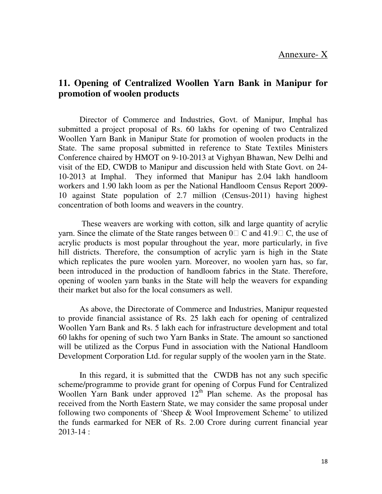## **11. Opening of Centralized Woollen Yarn Bank in Manipur for promotion of woolen products**

 Director of Commerce and Industries, Govt. of Manipur, Imphal has submitted a project proposal of Rs. 60 lakhs for opening of two Centralized Woollen Yarn Bank in Manipur State for promotion of woolen products in the State. The same proposal submitted in reference to State Textiles Ministers Conference chaired by HMOT on 9-10-2013 at Vighyan Bhawan, New Delhi and visit of the ED, CWDB to Manipur and discussion held with State Govt. on 24- 10-2013 at Imphal. They informed that Manipur has 2.04 lakh handloom workers and 1.90 lakh loom as per the National Handloom Census Report 2009- 10 against State population of 2.7 million (Census-2011) having highest concentration of both looms and weavers in the country.

 These weavers are working with cotton, silk and large quantity of acrylic yarn. Since the climate of the State ranges between  $0 \,$  C and 41.9 C, the use of acrylic products is most popular throughout the year, more particularly, in five hill districts. Therefore, the consumption of acrylic yarn is high in the State which replicates the pure woolen yarn. Moreover, no woolen yarn has, so far, been introduced in the production of handloom fabrics in the State. Therefore, opening of woolen yarn banks in the State will help the weavers for expanding their market but also for the local consumers as well.

 As above, the Directorate of Commerce and Industries, Manipur requested to provide financial assistance of Rs. 25 lakh each for opening of centralized Woollen Yarn Bank and Rs. 5 lakh each for infrastructure development and total 60 lakhs for opening of such two Yarn Banks in State. The amount so sanctioned will be utilized as the Corpus Fund in association with the National Handloom Development Corporation Ltd. for regular supply of the woolen yarn in the State.

 In this regard, it is submitted that the CWDB has not any such specific scheme/programme to provide grant for opening of Corpus Fund for Centralized Woollen Yarn Bank under approved  $12<sup>th</sup>$  Plan scheme. As the proposal has received from the North Eastern State, we may consider the same proposal under following two components of 'Sheep & Wool Improvement Scheme' to utilized the funds earmarked for NER of Rs. 2.00 Crore during current financial year 2013-14 :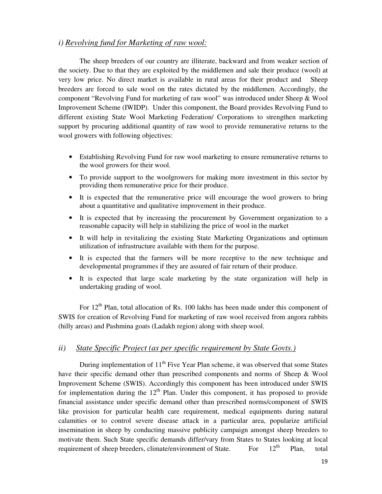#### *i) Revolving fund for Marketing of raw wool:*

 The sheep breeders of our country are illiterate, backward and from weaker section of the society. Due to that they are exploited by the middlemen and sale their produce (wool) at very low price. No direct market is available in rural areas for their product and Sheep breeders are forced to sale wool on the rates dictated by the middlemen. Accordingly, the component "Revolving Fund for marketing of raw wool" was introduced under Sheep & Wool Improvement Scheme (IWIDP). Under this component, the Board provides Revolving Fund to different existing State Wool Marketing Federation/ Corporations to strengthen marketing support by procuring additional quantity of raw wool to provide remunerative returns to the wool growers with following objectives:

- Establishing Revolving Fund for raw wool marketing to ensure remunerative returns to the wool growers for their wool.
- To provide support to the woolgrowers for making more investment in this sector by providing them remunerative price for their produce.
- It is expected that the remunerative price will encourage the wool growers to bring about a quantitative and qualitative improvement in their produce.
- It is expected that by increasing the procurement by Government organization to a reasonable capacity will help in stabilizing the price of wool in the market
- It will help in revitalizing the existing State Marketing Organizations and optimum utilization of infrastructure available with them for the purpose.
- It is expected that the farmers will be more receptive to the new technique and developmental programmes if they are assured of fair return of their produce.
- It is expected that large scale marketing by the state organization will help in undertaking grading of wool.

For  $12<sup>th</sup>$  Plan, total allocation of Rs. 100 lakhs has been made under this component of SWIS for creation of Revolving Fund for marketing of raw wool received from angora rabbits (hilly areas) and Pashmina goats (Ladakh region) along with sheep wool.

#### *ii) State Specific Project (as per specific requirement by State Govts.)*

During implementation of  $11<sup>th</sup>$  Five Year Plan scheme, it was observed that some States have their specific demand other than prescribed components and norms of Sheep & Wool Improvement Scheme (SWIS). Accordingly this component has been introduced under SWIS for implementation during the  $12<sup>th</sup>$  Plan. Under this component, it has proposed to provide financial assistance under specific demand other than prescribed norms/component of SWIS like provision for particular health care requirement, medical equipments during natural calamities or to control severe disease attack in a particular area, popularize artificial insemination in sheep by conducting massive publicity campaign amongst sheep breeders to motivate them. Such State specific demands differ/vary from States to States looking at local requirement of sheep breeders, climate/environment of State. For  $12<sup>th</sup>$  Plan, total